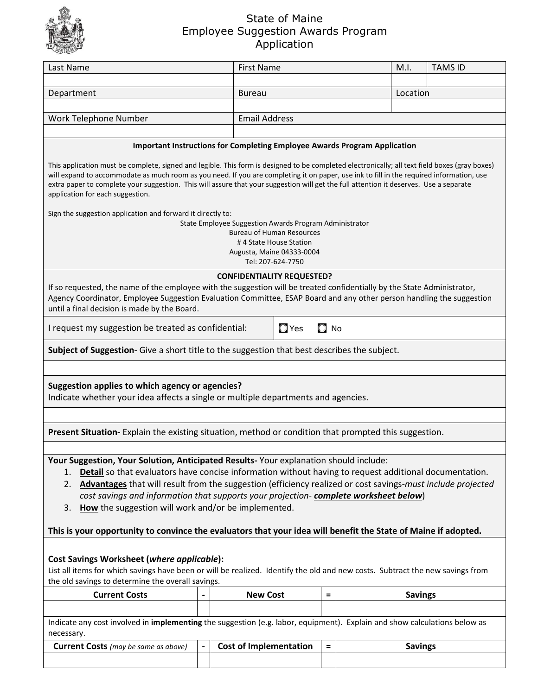

## State of Maine Employee Suggestion Awards Program Application

| Last Name                                                                                                                                                                                                                                                                                                              | <b>First Name</b>                                      |                                                            |          |  | M.I.           | <b>TAMS ID</b> |  |  |  |  |  |  |  |
|------------------------------------------------------------------------------------------------------------------------------------------------------------------------------------------------------------------------------------------------------------------------------------------------------------------------|--------------------------------------------------------|------------------------------------------------------------|----------|--|----------------|----------------|--|--|--|--|--|--|--|
|                                                                                                                                                                                                                                                                                                                        |                                                        |                                                            |          |  |                |                |  |  |  |  |  |  |  |
| Department                                                                                                                                                                                                                                                                                                             | <b>Bureau</b>                                          | Location                                                   |          |  |                |                |  |  |  |  |  |  |  |
|                                                                                                                                                                                                                                                                                                                        |                                                        |                                                            |          |  |                |                |  |  |  |  |  |  |  |
| Work Telephone Number                                                                                                                                                                                                                                                                                                  |                                                        | <b>Email Address</b>                                       |          |  |                |                |  |  |  |  |  |  |  |
|                                                                                                                                                                                                                                                                                                                        |                                                        |                                                            |          |  |                |                |  |  |  |  |  |  |  |
| <b>Important Instructions for Completing Employee Awards Program Application</b><br>This application must be complete, signed and legible. This form is designed to be completed electronically; all text field boxes (gray boxes)                                                                                     |                                                        |                                                            |          |  |                |                |  |  |  |  |  |  |  |
| will expand to accommodate as much room as you need. If you are completing it on paper, use ink to fill in the required information, use<br>extra paper to complete your suggestion. This will assure that your suggestion will get the full attention it deserves. Use a separate<br>application for each suggestion. |                                                        |                                                            |          |  |                |                |  |  |  |  |  |  |  |
| Sign the suggestion application and forward it directly to:                                                                                                                                                                                                                                                            |                                                        |                                                            |          |  |                |                |  |  |  |  |  |  |  |
|                                                                                                                                                                                                                                                                                                                        | State Employee Suggestion Awards Program Administrator |                                                            |          |  |                |                |  |  |  |  |  |  |  |
|                                                                                                                                                                                                                                                                                                                        |                                                        | <b>Bureau of Human Resources</b><br>#4 State House Station |          |  |                |                |  |  |  |  |  |  |  |
|                                                                                                                                                                                                                                                                                                                        |                                                        | Augusta, Maine 04333-0004                                  |          |  |                |                |  |  |  |  |  |  |  |
|                                                                                                                                                                                                                                                                                                                        |                                                        | Tel: 207-624-7750                                          |          |  |                |                |  |  |  |  |  |  |  |
|                                                                                                                                                                                                                                                                                                                        | <b>CONFIDENTIALITY REQUESTED?</b>                      |                                                            |          |  |                |                |  |  |  |  |  |  |  |
| If so requested, the name of the employee with the suggestion will be treated confidentially by the State Administrator,<br>Agency Coordinator, Employee Suggestion Evaluation Committee, ESAP Board and any other person handling the suggestion                                                                      |                                                        |                                                            |          |  |                |                |  |  |  |  |  |  |  |
| until a final decision is made by the Board.                                                                                                                                                                                                                                                                           |                                                        |                                                            |          |  |                |                |  |  |  |  |  |  |  |
| $\Box$ Yes<br>$\Box$ No<br>I request my suggestion be treated as confidential:                                                                                                                                                                                                                                         |                                                        |                                                            |          |  |                |                |  |  |  |  |  |  |  |
| Subject of Suggestion- Give a short title to the suggestion that best describes the subject.                                                                                                                                                                                                                           |                                                        |                                                            |          |  |                |                |  |  |  |  |  |  |  |
|                                                                                                                                                                                                                                                                                                                        |                                                        |                                                            |          |  |                |                |  |  |  |  |  |  |  |
|                                                                                                                                                                                                                                                                                                                        |                                                        |                                                            |          |  |                |                |  |  |  |  |  |  |  |
|                                                                                                                                                                                                                                                                                                                        |                                                        |                                                            |          |  |                |                |  |  |  |  |  |  |  |
| Suggestion applies to which agency or agencies?                                                                                                                                                                                                                                                                        |                                                        |                                                            |          |  |                |                |  |  |  |  |  |  |  |
| Indicate whether your idea affects a single or multiple departments and agencies.                                                                                                                                                                                                                                      |                                                        |                                                            |          |  |                |                |  |  |  |  |  |  |  |
|                                                                                                                                                                                                                                                                                                                        |                                                        |                                                            |          |  |                |                |  |  |  |  |  |  |  |
|                                                                                                                                                                                                                                                                                                                        |                                                        |                                                            |          |  |                |                |  |  |  |  |  |  |  |
| Present Situation- Explain the existing situation, method or condition that prompted this suggestion.                                                                                                                                                                                                                  |                                                        |                                                            |          |  |                |                |  |  |  |  |  |  |  |
|                                                                                                                                                                                                                                                                                                                        |                                                        |                                                            |          |  |                |                |  |  |  |  |  |  |  |
| Your Suggestion, Your Solution, Anticipated Results-Your explanation should include:                                                                                                                                                                                                                                   |                                                        |                                                            |          |  |                |                |  |  |  |  |  |  |  |
| Detail so that evaluators have concise information without having to request additional documentation.<br>1.                                                                                                                                                                                                           |                                                        |                                                            |          |  |                |                |  |  |  |  |  |  |  |
| Advantages that will result from the suggestion (efficiency realized or cost savings-must include projected<br>2.<br>cost savings and information that supports your projection-complete worksheet below)                                                                                                              |                                                        |                                                            |          |  |                |                |  |  |  |  |  |  |  |
| How the suggestion will work and/or be implemented.<br>3.                                                                                                                                                                                                                                                              |                                                        |                                                            |          |  |                |                |  |  |  |  |  |  |  |
|                                                                                                                                                                                                                                                                                                                        |                                                        |                                                            |          |  |                |                |  |  |  |  |  |  |  |
| This is your opportunity to convince the evaluators that your idea will benefit the State of Maine if adopted.                                                                                                                                                                                                         |                                                        |                                                            |          |  |                |                |  |  |  |  |  |  |  |
|                                                                                                                                                                                                                                                                                                                        |                                                        |                                                            |          |  |                |                |  |  |  |  |  |  |  |
| <b>Cost Savings Worksheet (where applicable):</b>                                                                                                                                                                                                                                                                      |                                                        |                                                            |          |  |                |                |  |  |  |  |  |  |  |
| List all items for which savings have been or will be realized. Identify the old and new costs. Subtract the new savings from                                                                                                                                                                                          |                                                        |                                                            |          |  |                |                |  |  |  |  |  |  |  |
| the old savings to determine the overall savings.                                                                                                                                                                                                                                                                      |                                                        |                                                            |          |  |                |                |  |  |  |  |  |  |  |
| <b>Current Costs</b>                                                                                                                                                                                                                                                                                                   | <b>New Cost</b>                                        |                                                            | $\equiv$ |  | <b>Savings</b> |                |  |  |  |  |  |  |  |
|                                                                                                                                                                                                                                                                                                                        |                                                        |                                                            |          |  |                |                |  |  |  |  |  |  |  |
| Indicate any cost involved in <i>implementing</i> the suggestion (e.g. labor, equipment). Explain and show calculations below as                                                                                                                                                                                       |                                                        |                                                            |          |  |                |                |  |  |  |  |  |  |  |
| necessary.                                                                                                                                                                                                                                                                                                             |                                                        |                                                            |          |  |                |                |  |  |  |  |  |  |  |
| <b>Current Costs</b> (may be same as above)                                                                                                                                                                                                                                                                            | <b>Cost of Implementation</b>                          |                                                            | $\equiv$ |  | <b>Savings</b> |                |  |  |  |  |  |  |  |